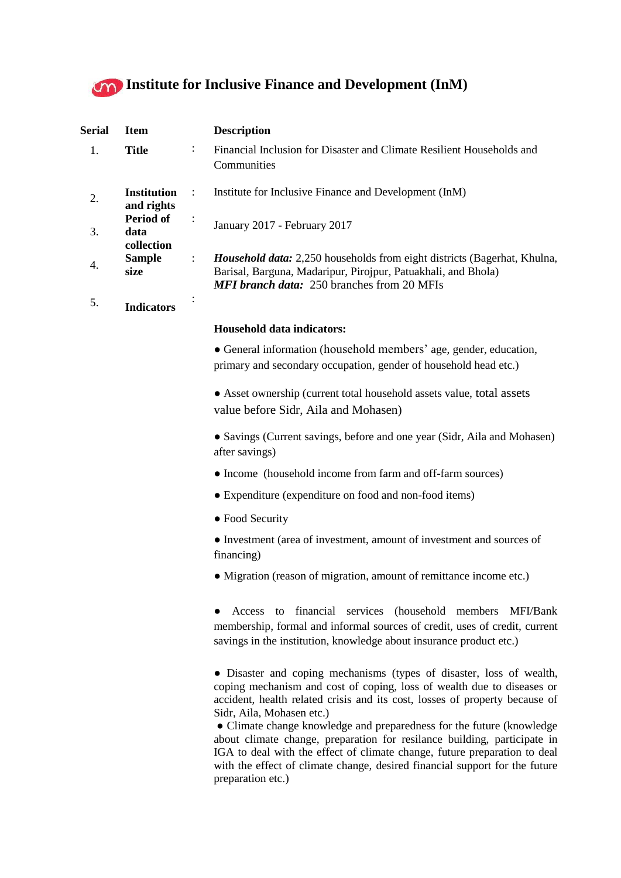

| Serial | <b>Item</b>                      |                      | <b>Description</b>                                                                                                                                                                                    |
|--------|----------------------------------|----------------------|-------------------------------------------------------------------------------------------------------------------------------------------------------------------------------------------------------|
| 1.     | <b>Title</b>                     | $\ddot{\cdot}$       | Financial Inclusion for Disaster and Climate Resilient Households and<br>Communities                                                                                                                  |
|        | <b>Institution</b><br>and rights |                      | Institute for Inclusive Finance and Development (InM)                                                                                                                                                 |
| 3.     | Period of<br>data<br>collection  | $\ddot{\phantom{a}}$ | January 2017 - February 2017                                                                                                                                                                          |
| 4.     | <b>Sample</b><br>size            | $\ddot{\cdot}$       | <i>Household data:</i> 2,250 households from eight districts (Bagerhat, Khulna,<br>Barisal, Barguna, Madaripur, Pirojpur, Patuakhali, and Bhola)<br><b>MFI branch data:</b> 250 branches from 20 MFIs |
| 5.     | Indicators                       | ٠                    |                                                                                                                                                                                                       |

## **Household data indicators:**

• General information (household members' age, gender, education, primary and secondary occupation, gender of household head etc.)

● Asset ownership (current total household assets value, total assets value before Sidr, Aila and Mohasen)

• Savings (Current savings, before and one year (Sidr, Aila and Mohasen) after savings)

- Income (household income from farm and off-farm sources)
- Expenditure (expenditure on food and non-food items)
- Food Security

● Investment (area of investment, amount of investment and sources of financing)

• Migration (reason of migration, amount of remittance income etc.)

● Access to financial services (household members MFI/Bank membership, formal and informal sources of credit, uses of credit, current savings in the institution, knowledge about insurance product etc.)

● Disaster and coping mechanisms (types of disaster, loss of wealth, coping mechanism and cost of coping, loss of wealth due to diseases or accident, health related crisis and its cost, losses of property because of Sidr, Aila, Mohasen etc.)

● Climate change knowledge and preparedness for the future (knowledge about climate change, preparation for resilance building, participate in IGA to deal with the effect of climate change, future preparation to deal with the effect of climate change, desired financial support for the future preparation etc.)